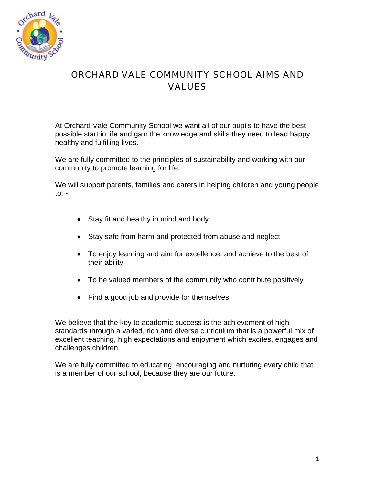

## ORCHARD VALE COMMUNITY SCHOOL AIMS AND VALUES

At Orchard Vale Community School we want all of our pupils to have the best possible start in life and gain the knowledge and skills they need to lead happy, healthy and fulfilling lives.

We are fully committed to the principles of sustainability and working with our community to promote learning for life.

We will support parents, families and carers in helping children and young people to: -

- Stay fit and healthy in mind and body
- Stay safe from harm and protected from abuse and neglect
- To enjoy learning and aim for excellence, and achieve to the best of their ability
- To be valued members of the community who contribute positively
- Find a good job and provide for themselves

We believe that the key to academic success is the achievement of high standards through a varied, rich and diverse curriculum that is a powerful mix of excellent teaching, high expectations and enjoyment which excites, engages and challenges children.

We are fully committed to educating, encouraging and nurturing every child that is a member of our school, because they are our future.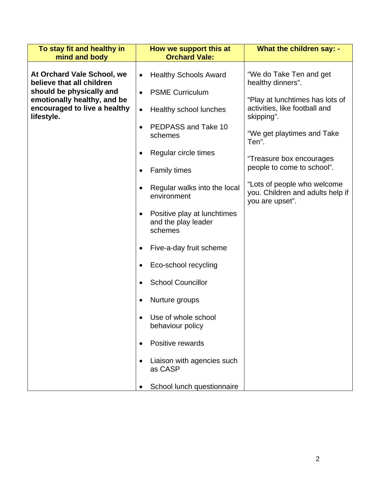| To stay fit and healthy in<br>mind and body                                                                                                                      | How we support this at<br><b>Orchard Vale:</b>                             | What the children say: -                                                           |
|------------------------------------------------------------------------------------------------------------------------------------------------------------------|----------------------------------------------------------------------------|------------------------------------------------------------------------------------|
|                                                                                                                                                                  |                                                                            |                                                                                    |
| At Orchard Vale School, we<br>believe that all children<br>should be physically and<br>emotionally healthy, and be<br>encouraged to live a healthy<br>lifestyle. | <b>Healthy Schools Award</b><br>$\bullet$                                  | "We do Take Ten and get<br>healthy dinners".                                       |
|                                                                                                                                                                  | <b>PSME Curriculum</b><br>$\bullet$                                        | "Play at lunchtimes has lots of                                                    |
|                                                                                                                                                                  | Healthy school lunches<br>$\bullet$                                        | activities, like football and<br>skipping".                                        |
|                                                                                                                                                                  | PEDPASS and Take 10<br>schemes                                             | "We get playtimes and Take<br>Ten".                                                |
|                                                                                                                                                                  | Regular circle times<br>٠                                                  | "Treasure box encourages                                                           |
|                                                                                                                                                                  | <b>Family times</b><br>٠                                                   | people to come to school".                                                         |
|                                                                                                                                                                  | Regular walks into the local<br>$\bullet$<br>environment                   | "Lots of people who welcome<br>you. Children and adults help if<br>you are upset". |
|                                                                                                                                                                  | Positive play at lunchtimes<br>$\bullet$<br>and the play leader<br>schemes |                                                                                    |
|                                                                                                                                                                  | Five-a-day fruit scheme                                                    |                                                                                    |
|                                                                                                                                                                  | Eco-school recycling<br>٠                                                  |                                                                                    |
|                                                                                                                                                                  | <b>School Councillor</b>                                                   |                                                                                    |
|                                                                                                                                                                  | Nurture groups<br>٠                                                        |                                                                                    |
|                                                                                                                                                                  | Use of whole school<br>behaviour policy                                    |                                                                                    |
|                                                                                                                                                                  | Positive rewards                                                           |                                                                                    |
|                                                                                                                                                                  | Liaison with agencies such<br>as CASP                                      |                                                                                    |
|                                                                                                                                                                  | School lunch questionnaire                                                 |                                                                                    |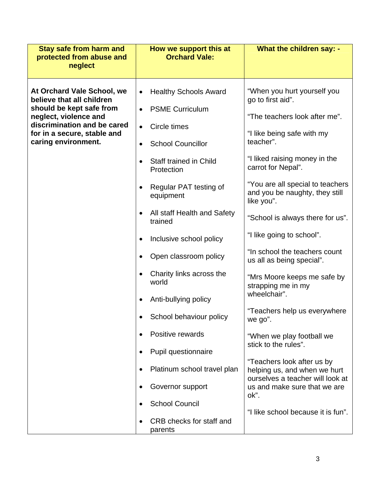| <b>Stay safe from harm and</b><br>protected from abuse and<br>neglect                                                                                                                             | How we support this at<br><b>Orchard Vale:</b>                                                                                                                                                                                                                                                                                                                                                                                                                                                                                                                   | What the children say: -                                                                                                                                                                                                                                                                                                                                                                                                                                                                                                                                                                                                                                                                                              |
|---------------------------------------------------------------------------------------------------------------------------------------------------------------------------------------------------|------------------------------------------------------------------------------------------------------------------------------------------------------------------------------------------------------------------------------------------------------------------------------------------------------------------------------------------------------------------------------------------------------------------------------------------------------------------------------------------------------------------------------------------------------------------|-----------------------------------------------------------------------------------------------------------------------------------------------------------------------------------------------------------------------------------------------------------------------------------------------------------------------------------------------------------------------------------------------------------------------------------------------------------------------------------------------------------------------------------------------------------------------------------------------------------------------------------------------------------------------------------------------------------------------|
| At Orchard Vale School, we<br>believe that all children<br>should be kept safe from<br>neglect, violence and<br>discrimination and be cared<br>for in a secure, stable and<br>caring environment. | <b>Healthy Schools Award</b><br>$\bullet$<br><b>PSME Curriculum</b><br>$\bullet$<br>Circle times<br>$\bullet$<br><b>School Councillor</b><br>$\bullet$<br>Staff trained in Child<br>Protection<br>Regular PAT testing of<br>$\bullet$<br>equipment<br>All staff Health and Safety<br>$\bullet$<br>trained<br>Inclusive school policy<br>$\bullet$<br>Open classroom policy<br>Charity links across the<br>world<br>Anti-bullying policy<br>School behaviour policy<br>Positive rewards<br>Pupil questionnaire<br>Platinum school travel plan<br>Governor support | "When you hurt yourself you<br>go to first aid".<br>"The teachers look after me".<br>"I like being safe with my<br>teacher".<br>"I liked raising money in the<br>carrot for Nepal".<br>"You are all special to teachers<br>and you be naughty, they still<br>like you".<br>"School is always there for us".<br>"I like going to school".<br>"In school the teachers count<br>us all as being special".<br>"Mrs Moore keeps me safe by<br>strapping me in my<br>wheelchair".<br>"Teachers help us everywhere<br>we go".<br>"When we play football we<br>stick to the rules".<br>"Teachers look after us by<br>helping us, and when we hurt<br>ourselves a teacher will look at<br>us and make sure that we are<br>ok". |
|                                                                                                                                                                                                   | <b>School Council</b><br>CRB checks for staff and<br>parents                                                                                                                                                                                                                                                                                                                                                                                                                                                                                                     | "I like school because it is fun".                                                                                                                                                                                                                                                                                                                                                                                                                                                                                                                                                                                                                                                                                    |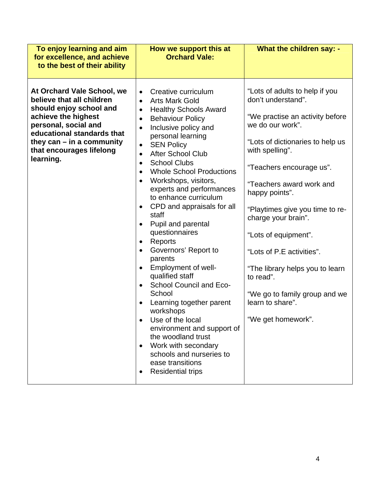| To enjoy learning and aim<br>for excellence, and achieve<br>to the best of their ability                                                                                                                                                | How we support this at<br><b>Orchard Vale:</b>                                                                                                                                                                                                                                                                                                                                                                                                                                                                                                                                                                                                                                                                                                                                                                                                                                                                       | What the children say: -                                                                                                                                                                                                                                                                                                                                                                                                                                                               |
|-----------------------------------------------------------------------------------------------------------------------------------------------------------------------------------------------------------------------------------------|----------------------------------------------------------------------------------------------------------------------------------------------------------------------------------------------------------------------------------------------------------------------------------------------------------------------------------------------------------------------------------------------------------------------------------------------------------------------------------------------------------------------------------------------------------------------------------------------------------------------------------------------------------------------------------------------------------------------------------------------------------------------------------------------------------------------------------------------------------------------------------------------------------------------|----------------------------------------------------------------------------------------------------------------------------------------------------------------------------------------------------------------------------------------------------------------------------------------------------------------------------------------------------------------------------------------------------------------------------------------------------------------------------------------|
| At Orchard Vale School, we<br>believe that all children<br>should enjoy school and<br>achieve the highest<br>personal, social and<br>educational standards that<br>they can $-$ in a community<br>that encourages lifelong<br>learning. | Creative curriculum<br><b>Arts Mark Gold</b><br>$\bullet$<br><b>Healthy Schools Award</b><br>$\bullet$<br><b>Behaviour Policy</b><br>$\bullet$<br>Inclusive policy and<br>$\bullet$<br>personal learning<br><b>SEN Policy</b><br>$\bullet$<br>After School Club<br>$\bullet$<br><b>School Clubs</b><br>$\bullet$<br><b>Whole School Productions</b><br>Workshops, visitors,<br>$\bullet$<br>experts and performances<br>to enhance curriculum<br>CPD and appraisals for all<br>$\bullet$<br>staff<br>Pupil and parental<br>questionnaires<br>Reports<br>$\bullet$<br>Governors' Report to<br>$\bullet$<br>parents<br>Employment of well-<br>qualified staff<br>School Council and Eco-<br>School<br>Learning together parent<br>workshops<br>Use of the local<br>environment and support of<br>the woodland trust<br>Work with secondary<br>schools and nurseries to<br>ease transitions<br><b>Residential trips</b> | "Lots of adults to help if you<br>don't understand".<br>"We practise an activity before<br>we do our work".<br>"Lots of dictionaries to help us<br>with spelling".<br>"Teachers encourage us".<br>"Teachers award work and<br>happy points".<br>"Playtimes give you time to re-<br>charge your brain".<br>"Lots of equipment".<br>"Lots of P.E activities".<br>"The library helps you to learn<br>to read".<br>"We go to family group and we<br>learn to share".<br>"We get homework". |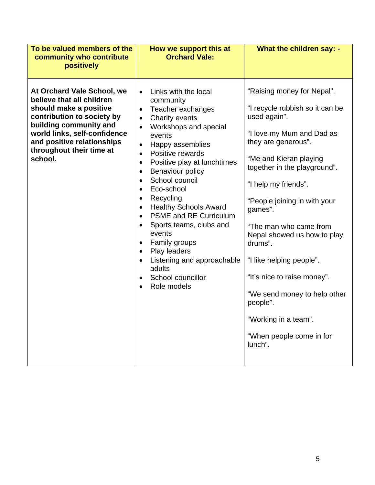| To be valued members of the<br>community who contribute                                                                                                                                                                                        | How we support this at<br><b>Orchard Vale:</b>                                                                                                                                                                                                                                                                                                                                                                                                                                                                                                                                                                                                                            | <b>What the children say: -</b>                                                                                                                                                                                                                                                                                                                                                                                                                                                                          |
|------------------------------------------------------------------------------------------------------------------------------------------------------------------------------------------------------------------------------------------------|---------------------------------------------------------------------------------------------------------------------------------------------------------------------------------------------------------------------------------------------------------------------------------------------------------------------------------------------------------------------------------------------------------------------------------------------------------------------------------------------------------------------------------------------------------------------------------------------------------------------------------------------------------------------------|----------------------------------------------------------------------------------------------------------------------------------------------------------------------------------------------------------------------------------------------------------------------------------------------------------------------------------------------------------------------------------------------------------------------------------------------------------------------------------------------------------|
| positively                                                                                                                                                                                                                                     |                                                                                                                                                                                                                                                                                                                                                                                                                                                                                                                                                                                                                                                                           |                                                                                                                                                                                                                                                                                                                                                                                                                                                                                                          |
| At Orchard Vale School, we<br>believe that all children<br>should make a positive<br>contribution to society by<br>building community and<br>world links, self-confidence<br>and positive relationships<br>throughout their time at<br>school. | Links with the local<br>community<br>Teacher exchanges<br>$\bullet$<br>Charity events<br>$\bullet$<br>Workshops and special<br>events<br>Happy assemblies<br>$\bullet$<br>Positive rewards<br>$\bullet$<br>Positive play at lunchtimes<br>$\bullet$<br>Behaviour policy<br>$\bullet$<br>School council<br>$\bullet$<br>Eco-school<br>$\bullet$<br>Recycling<br>$\bullet$<br><b>Healthy Schools Award</b><br>$\bullet$<br><b>PSME and RE Curriculum</b><br>$\bullet$<br>Sports teams, clubs and<br>$\bullet$<br>events<br>Family groups<br>$\bullet$<br>Play leaders<br>$\bullet$<br>Listening and approachable<br>adults<br>School councillor<br>Role models<br>$\bullet$ | "Raising money for Nepal".<br>"I recycle rubbish so it can be<br>used again".<br>"I love my Mum and Dad as<br>they are generous".<br>"Me and Kieran playing<br>together in the playground".<br>"I help my friends".<br>"People joining in with your<br>games".<br>"The man who came from<br>Nepal showed us how to play<br>drums".<br>"I like helping people".<br>"It's nice to raise money".<br>"We send money to help other<br>people".<br>"Working in a team".<br>"When people come in for<br>lunch". |